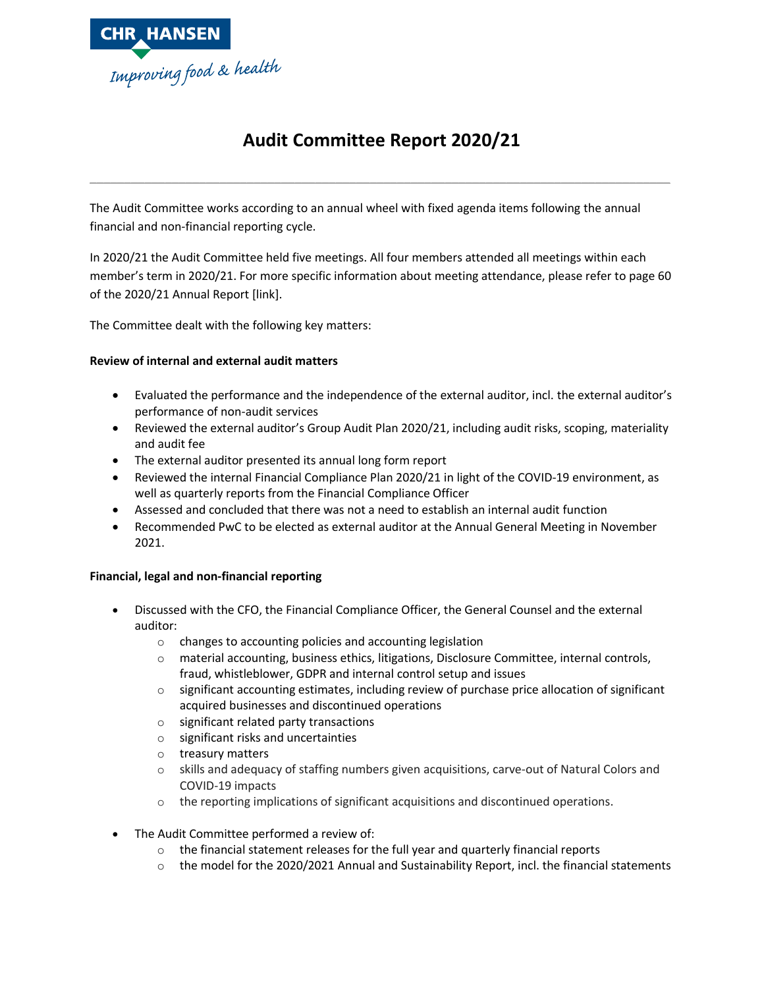

# **Audit Committee Report 2020/21**

**\_\_\_\_\_\_\_\_\_\_\_\_\_\_\_\_\_\_\_\_\_\_\_\_\_\_\_\_\_\_\_\_\_\_\_\_\_\_\_\_\_\_\_\_\_\_\_\_\_\_\_\_\_\_\_\_\_\_\_\_\_\_\_\_\_\_\_\_\_\_\_\_\_\_\_\_\_\_\_\_\_\_\_\_\_**

The Audit Committee works according to an annual wheel with fixed agenda items following the annual financial and non-financial reporting cycle.

In 2020/21 the Audit Committee held five meetings. All four members attended all meetings within each member's term in 2020/21. For more specific information about meeting attendance, please refer to page 60 of the 2020/21 Annual Report [link].

The Committee dealt with the following key matters:

## **Review of internal and external audit matters**

- Evaluated the performance and the independence of the external auditor, incl. the external auditor's performance of non-audit services
- Reviewed the external auditor's Group Audit Plan 2020/21, including audit risks, scoping, materiality and audit fee
- The external auditor presented its annual long form report
- Reviewed the internal Financial Compliance Plan 2020/21 in light of the COVID-19 environment, as well as quarterly reports from the Financial Compliance Officer
- Assessed and concluded that there was not a need to establish an internal audit function
- Recommended PwC to be elected as external auditor at the Annual General Meeting in November 2021.

## **Financial, legal and non-financial reporting**

- Discussed with the CFO, the Financial Compliance Officer, the General Counsel and the external auditor:
	- o changes to accounting policies and accounting legislation
	- o material accounting, business ethics, litigations, Disclosure Committee, internal controls, fraud, whistleblower, GDPR and internal control setup and issues
	- $\circ$  significant accounting estimates, including review of purchase price allocation of significant acquired businesses and discontinued operations
	- o significant related party transactions
	- o significant risks and uncertainties
	- o treasury matters
	- $\circ$  skills and adequacy of staffing numbers given acquisitions, carve-out of Natural Colors and COVID-19 impacts
	- o the reporting implications of significant acquisitions and discontinued operations.
- The Audit Committee performed a review of:
	- $\circ$  the financial statement releases for the full year and quarterly financial reports
	- $\circ$  the model for the 2020/2021 Annual and Sustainability Report, incl. the financial statements